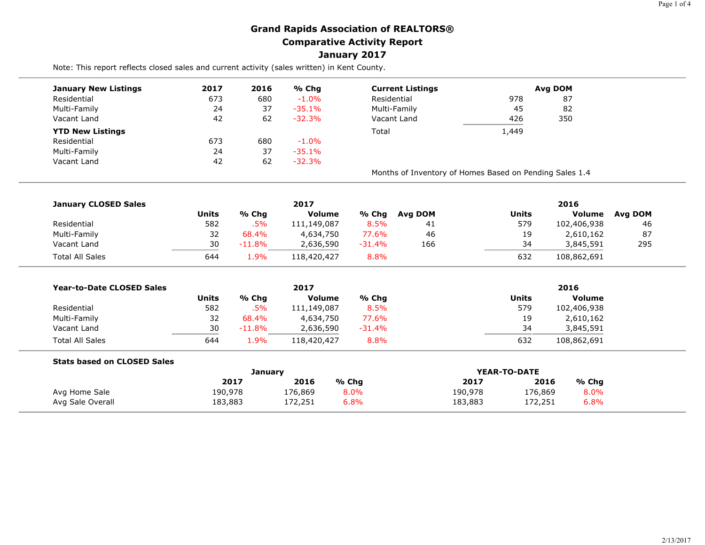## **Grand Rapids Association of REALTORS® Comparative Activity Report January 2017**

Note: This report reflects closed sales and current activity (sales written) in Kent County.

| <b>January New Listings</b>      | 2017         | 2016     | % Chg         | <b>Current Listings</b> |                                                         |              | Avg DOM       |                |
|----------------------------------|--------------|----------|---------------|-------------------------|---------------------------------------------------------|--------------|---------------|----------------|
| Residential                      | 673          | 680      | $-1.0%$       | Residential             |                                                         | 978          | 87            |                |
| Multi-Family                     | 24           | 37       | $-35.1%$      | Multi-Family            |                                                         | 45           | 82            |                |
| Vacant Land                      | 42           | 62       | $-32.3%$      |                         | Vacant Land                                             | 426          | 350           |                |
| <b>YTD New Listings</b>          |              |          |               | Total                   |                                                         | 1,449        |               |                |
| Residential                      | 673          | 680      | $-1.0%$       |                         |                                                         |              |               |                |
| Multi-Family                     | 24           | 37       | $-35.1%$      |                         |                                                         |              |               |                |
| Vacant Land                      | 42           | 62       | $-32.3%$      |                         |                                                         |              |               |                |
|                                  |              |          |               |                         | Months of Inventory of Homes Based on Pending Sales 1.4 |              |               |                |
| <b>January CLOSED Sales</b>      |              |          | 2017          |                         |                                                         |              | 2016          |                |
|                                  | <b>Units</b> | % Chg    | Volume        | % Chg                   | <b>Avg DOM</b>                                          | <b>Units</b> | <b>Volume</b> | <b>Avg DOM</b> |
| Residential                      | 582          | .5%      | 111,149,087   | 8.5%                    | 41                                                      | 579          | 102,406,938   | 46             |
| Multi-Family                     | 32           | 68.4%    | 4,634,750     | 77.6%                   | 46                                                      | 19           | 2,610,162     | 87             |
| Vacant Land                      | 30           | $-11.8%$ | 2,636,590     | $-31.4%$                | 166                                                     | 34           | 3,845,591     | 295            |
| <b>Total All Sales</b>           | 644          | 1.9%     | 118,420,427   | 8.8%                    |                                                         | 632          | 108,862,691   |                |
| <b>Year-to-Date CLOSED Sales</b> |              |          | 2017          |                         |                                                         |              | 2016          |                |
|                                  | <b>Units</b> | % Chg    | <b>Volume</b> | % Chg                   |                                                         | <b>Units</b> | <b>Volume</b> |                |
| Residential                      | 582          | .5%      | 111,149,087   | 8.5%                    |                                                         | 579          | 102,406,938   |                |
| Multi-Family                     | 32           | 68.4%    | 4,634,750     | 77.6%                   |                                                         | 19           | 2,610,162     |                |
| Vacant Land                      | 30           | $-11.8%$ | 2,636,590     | $-31.4%$                |                                                         | 34           | 3,845,591     |                |
|                                  | 644          | 1.9%     | 118,420,427   | 8.8%                    |                                                         | 632          | 108,862,691   |                |

|                  | Januarv |         |         | YEAR-TO-DATE |         |       |  |
|------------------|---------|---------|---------|--------------|---------|-------|--|
|                  | 2017    | 2016    | % Chg   | 2017         | 2016    | % Chg |  |
| Avg Home Sale    | 190,978 | 176,869 | $8.0\%$ | 190,978      | 176,869 | 8.0%  |  |
| Avg Sale Overall | 183,883 | 172,251 | $6.8\%$ | 183,883      | 172,251 | 6.8%  |  |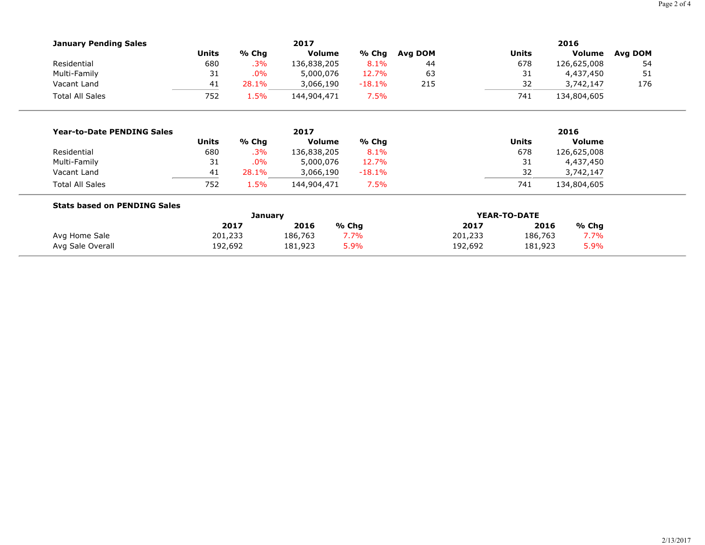|                                     |                |       |               |          |         |         |              |             | Page 2 of 4 |
|-------------------------------------|----------------|-------|---------------|----------|---------|---------|--------------|-------------|-------------|
| <b>January Pending Sales</b>        |                |       | 2017          |          |         |         |              | 2016        |             |
|                                     | <b>Units</b>   | % Chg | Volume        | % Chg    | Avg DOM |         | <b>Units</b> | Volume      | Avg DOM     |
| Residential                         | 680            | .3%   | 136,838,205   | 8.1%     | 44      |         | 678          | 126,625,008 | 54          |
| Multi-Family                        | 31             | .0%   | 5,000,076     | 12.7%    | 63      |         | 31           | 4,437,450   | 51          |
| Vacant Land                         | 41             | 28.1% | 3,066,190     | $-18.1%$ | 215     |         | 32           | 3,742,147   | 176         |
| <b>Total All Sales</b>              | 752            | 1.5%  | 144,904,471   | 7.5%     |         |         | 741          | 134,804,605 |             |
| <b>Year-to-Date PENDING Sales</b>   |                |       | 2017          |          |         |         |              | 2016        |             |
|                                     | <b>Units</b>   | % Chg | <b>Volume</b> | % Chg    |         |         | <b>Units</b> | Volume      |             |
| Residential                         | 680            | .3%   | 136,838,205   | 8.1%     |         |         | 678          | 126,625,008 |             |
| Multi-Family                        | 31             | .0%   | 5,000,076     | 12.7%    |         |         | 31           | 4,437,450   |             |
| Vacant Land                         | 41             | 28.1% | 3,066,190     | $-18.1%$ |         |         | 32           | 3,742,147   |             |
| <b>Total All Sales</b>              | 752            | 1.5%  | 144,904,471   | 7.5%     |         |         | 741          | 134,804,605 |             |
| <b>Stats based on PENDING Sales</b> |                |       |               |          |         |         |              |             |             |
|                                     | <b>January</b> |       |               |          |         |         | YEAR-TO-DATE |             |             |
|                                     |                | 2017  | 2016          | % Chg    |         | 2017    | 2016         | % Chg       |             |
| Avg Home Sale                       | 201,233        |       | 186,763       | 7.7%     |         | 201,233 | 186,763      | 7.7%        |             |
| Avg Sale Overall                    | 192,692        |       | 181,923       | 5.9%     |         | 192,692 | 181,923      | 5.9%        |             |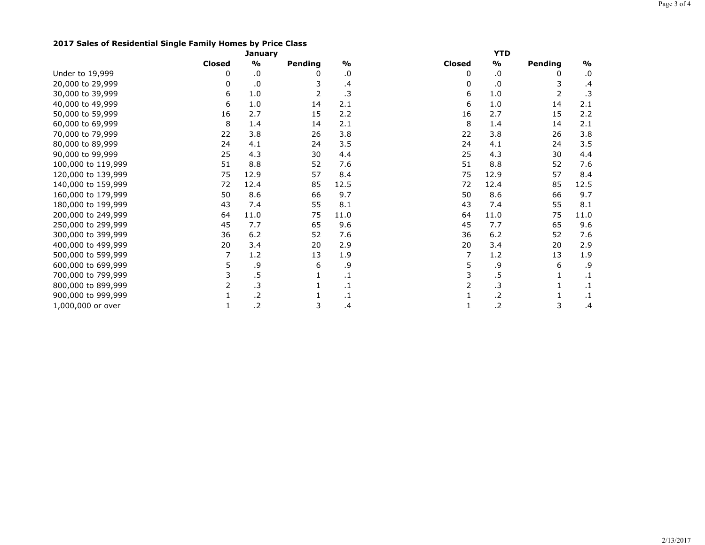## **2017 Sales of Residential Single Family Homes by Price Class**

|                    |               | <b>January</b> |         |                   |               | <b>YTD</b>    |         |               |
|--------------------|---------------|----------------|---------|-------------------|---------------|---------------|---------|---------------|
|                    | <b>Closed</b> | $\frac{1}{2}$  | Pending | $\frac{1}{2}$     | <b>Closed</b> | $\frac{1}{2}$ | Pending | $\frac{1}{2}$ |
| Under to 19,999    | 0             | .0             | 0       | .0                | 0             | .0            | 0       | .0            |
| 20,000 to 29,999   | 0             | $\cdot$        | 3       | .4                | 0             | .0            | 3       | $\cdot$       |
| 30,000 to 39,999   | 6             | 1.0            | 2       | .3                | 6             | 1.0           | 2       | $\cdot$ 3     |
| 40,000 to 49,999   | 6             | 1.0            | 14      | 2.1               | 6             | 1.0           | 14      | 2.1           |
| 50,000 to 59,999   | 16            | 2.7            | 15      | 2.2               | 16            | 2.7           | 15      | 2.2           |
| 60,000 to 69,999   | 8             | 1.4            | 14      | 2.1               | 8             | 1.4           | 14      | 2.1           |
| 70,000 to 79,999   | 22            | 3.8            | 26      | 3.8               | 22            | 3.8           | 26      | 3.8           |
| 80,000 to 89,999   | 24            | 4.1            | 24      | 3.5               | 24            | 4.1           | 24      | 3.5           |
| 90,000 to 99,999   | 25            | 4.3            | 30      | 4.4               | 25            | 4.3           | 30      | 4.4           |
| 100,000 to 119,999 | 51            | 8.8            | 52      | 7.6               | 51            | 8.8           | 52      | 7.6           |
| 120,000 to 139,999 | 75            | 12.9           | 57      | 8.4               | 75            | 12.9          | 57      | 8.4           |
| 140,000 to 159,999 | 72            | 12.4           | 85      | 12.5              | 72            | 12.4          | 85      | 12.5          |
| 160,000 to 179,999 | 50            | 8.6            | 66      | 9.7               | 50            | 8.6           | 66      | 9.7           |
| 180,000 to 199,999 | 43            | 7.4            | 55      | 8.1               | 43            | 7.4           | 55      | 8.1           |
| 200,000 to 249,999 | 64            | 11.0           | 75      | 11.0              | 64            | 11.0          | 75      | 11.0          |
| 250,000 to 299,999 | 45            | 7.7            | 65      | 9.6               | 45            | 7.7           | 65      | 9.6           |
| 300,000 to 399,999 | 36            | 6.2            | 52      | 7.6               | 36            | 6.2           | 52      | 7.6           |
| 400,000 to 499,999 | 20            | 3.4            | 20      | 2.9               | 20            | 3.4           | 20      | 2.9           |
| 500,000 to 599,999 | 7             | 1.2            | 13      | 1.9               | 7             | 1.2           | 13      | 1.9           |
| 600,000 to 699,999 | 5             | .9             | 6       | .9                | 5             | .9            | 6       | .9            |
| 700,000 to 799,999 |               | .5             |         | $\cdot$ 1         |               | $.5\,$        | 1       | $\cdot$ 1     |
| 800,000 to 899,999 | 2             | $\cdot$ 3      |         | $\cdot\mathbf{1}$ | 2             | .3            |         | $\cdot$       |
| 900,000 to 999,999 |               | $\cdot$        |         | $\cdot$ 1         |               | .2            |         | $\cdot$ 1     |
| 1,000,000 or over  | 1             | $\cdot$        | 3       | .4                |               | .2            | 3       | $\cdot$       |